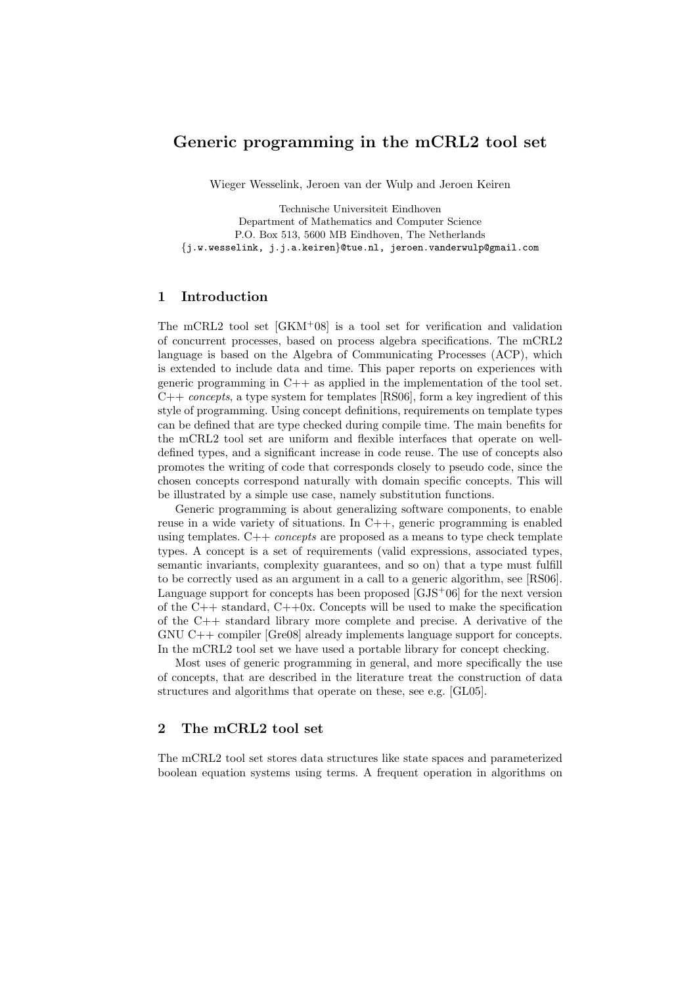# Generic programming in the mCRL2 tool set

Wieger Wesselink, Jeroen van der Wulp and Jeroen Keiren

Technische Universiteit Eindhoven Department of Mathematics and Computer Science P.O. Box 513, 5600 MB Eindhoven, The Netherlands {j.w.wesselink, j.j.a.keiren}@tue.nl, jeroen.vanderwulp@gmail.com

## 1 Introduction

The mCRL2 tool set [GKM+08] is a tool set for verification and validation of concurrent processes, based on process algebra specifications. The mCRL2 language is based on the Algebra of Communicating Processes (ACP), which is extended to include data and time. This paper reports on experiences with generic programming in  $C++$  as applied in the implementation of the tool set.  $C++$  concepts, a type system for templates [RS06], form a key ingredient of this style of programming. Using concept definitions, requirements on template types can be defined that are type checked during compile time. The main benefits for the mCRL2 tool set are uniform and flexible interfaces that operate on welldefined types, and a significant increase in code reuse. The use of concepts also promotes the writing of code that corresponds closely to pseudo code, since the chosen concepts correspond naturally with domain specific concepts. This will be illustrated by a simple use case, namely substitution functions.

Generic programming is about generalizing software components, to enable reuse in a wide variety of situations. In  $C++$ , generic programming is enabled using templates.  $C++ concepts$  are proposed as a means to type check template types. A concept is a set of requirements (valid expressions, associated types, semantic invariants, complexity guarantees, and so on) that a type must fulfill to be correctly used as an argument in a call to a generic algorithm, see [RS06]. Language support for concepts has been proposed  $[GJS<sup>+</sup>06]$  for the next version of the  $C++$  standard,  $C++0x$ . Concepts will be used to make the specification of the C++ standard library more complete and precise. A derivative of the GNU C++ compiler [Gre08] already implements language support for concepts. In the mCRL2 tool set we have used a portable library for concept checking.

Most uses of generic programming in general, and more specifically the use of concepts, that are described in the literature treat the construction of data structures and algorithms that operate on these, see e.g. [GL05].

## 2 The mCRL2 tool set

The mCRL2 tool set stores data structures like state spaces and parameterized boolean equation systems using terms. A frequent operation in algorithms on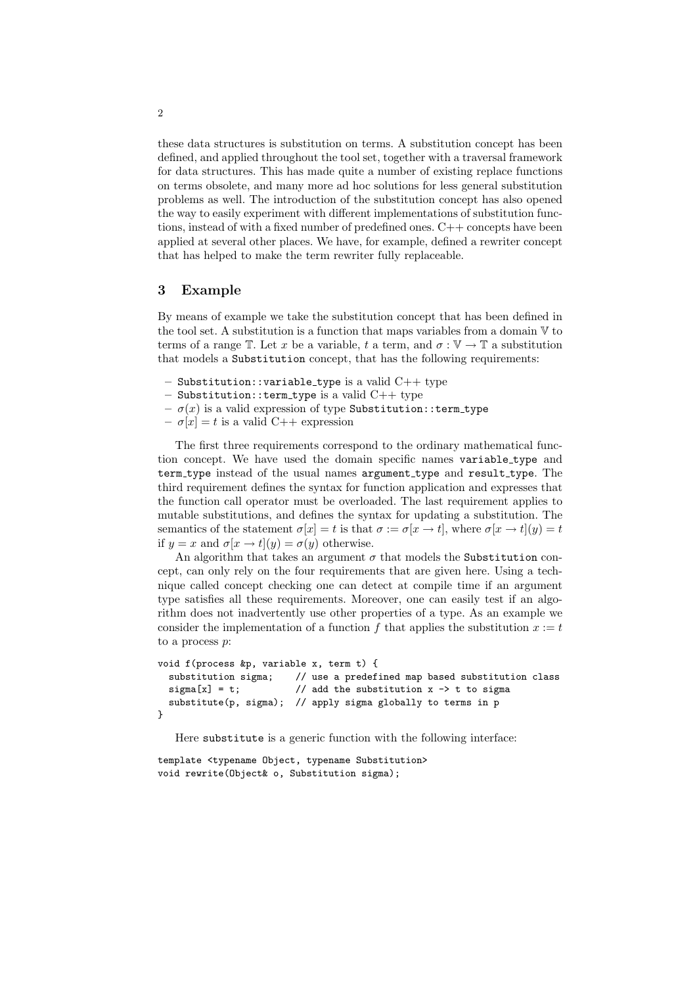these data structures is substitution on terms. A substitution concept has been defined, and applied throughout the tool set, together with a traversal framework for data structures. This has made quite a number of existing replace functions on terms obsolete, and many more ad hoc solutions for less general substitution problems as well. The introduction of the substitution concept has also opened the way to easily experiment with different implementations of substitution functions, instead of with a fixed number of predefined ones. C++ concepts have been applied at several other places. We have, for example, defined a rewriter concept that has helped to make the term rewriter fully replaceable.

## 3 Example

By means of example we take the substitution concept that has been defined in the tool set. A substitution is a function that maps variables from a domain  $V$  to terms of a range  $\mathbb{T}$ . Let x be a variable, t a term, and  $\sigma : \mathbb{V} \to \mathbb{T}$  a substitution that models a Substitution concept, that has the following requirements:

- $-$  Substitution:: variable\_type is a valid  $C++$  type
- $-$  Substitution::term\_type is a valid  $C++$  type
- $-\sigma(x)$  is a valid expression of type Substitution::term\_type
- $-\sigma[x] = t$  is a valid C++ expression

The first three requirements correspond to the ordinary mathematical function concept. We have used the domain specific names variable type and term\_type instead of the usual names argument\_type and result\_type. The third requirement defines the syntax for function application and expresses that the function call operator must be overloaded. The last requirement applies to mutable substitutions, and defines the syntax for updating a substitution. The semantics of the statement  $\sigma[x] = t$  is that  $\sigma := \sigma[x \to t]$ , where  $\sigma[x \to t](y) = t$ if  $y = x$  and  $\sigma[x \to t](y) = \sigma(y)$  otherwise.

An algorithm that takes an argument  $\sigma$  that models the Substitution concept, can only rely on the four requirements that are given here. Using a technique called concept checking one can detect at compile time if an argument type satisfies all these requirements. Moreover, one can easily test if an algorithm does not inadvertently use other properties of a type. As an example we consider the implementation of a function f that applies the substitution  $x := t$ to a process  $p$ :

```
void f(process &p, variable x, term t) {
  substitution sigma; // use a predefined map based substitution class
  sigma[x] = t; \frac{1}{2} add the substitution x -> t to sigma
  substitute(p, sigma); // apply sigma globally to terms in p
}
```
Here substitute is a generic function with the following interface:

```
template <typename Object, typename Substitution>
void rewrite(Object& o, Substitution sigma);
```
2